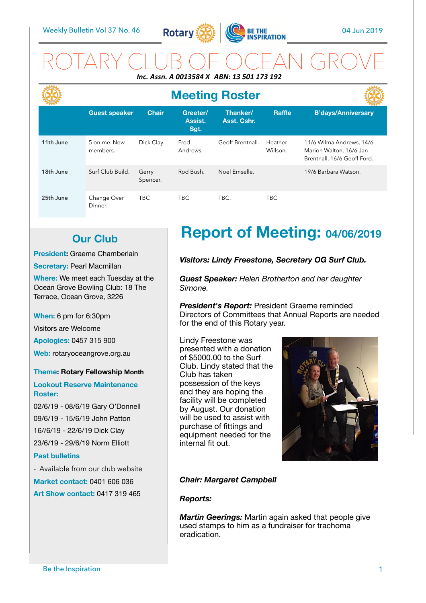

ROTARY CLUB OF OCEAN GROVE *Inc. Assn. A 0013584 X ABN: 13 501 173 192* 

|           | <b>Meeting Roster</b>    |                   |                             |                         |                     |                                                                                    |
|-----------|--------------------------|-------------------|-----------------------------|-------------------------|---------------------|------------------------------------------------------------------------------------|
|           | <b>Guest speaker</b>     | <b>Chair</b>      | Greeter/<br>Assist.<br>Sgt. | Thanker/<br>Asst. Cshr. | <b>Raffle</b>       | <b>B'days/Anniversary</b>                                                          |
| 11th June | 5 on me. New<br>members. | Dick Clay.        | Fred<br>Andrews.            | Geoff Brentnall.        | Heather<br>Willson. | 11/6 Wilma Andrews, 14/6<br>Marion Walton, 16/6 Jan<br>Brentnall, 16/6 Geoff Ford. |
| 18th June | Surf Club Build.         | Gerry<br>Spencer. | Rod Bush.                   | Noel Emselle.           |                     | 19/6 Barbara Watson.                                                               |
| 25th June | Change Over<br>Dinner.   | TBC.              | <b>TBC</b>                  | TBC.                    | TBC                 |                                                                                    |

## **Our Club**

**President:** Graeme Chamberlain

**Secretary: Pearl Macmillan** 

**Where:** We meet each Tuesday at the Ocean Grove Bowling Club: 18 The Terrace, Ocean Grove, 3226

**When:** 6 pm for 6:30pm

Visitors are Welcome

**Apologies:** 0457 315 900

**Web:** rotaryoceangrove.org.au

#### **Theme: Rotary Fellowship Month**

#### **Lookout Reserve Maintenance Roster:**

02/6/19 - 08/6/19 Gary O'Donnell 09/6/19 - 15/6/19 John Patton 16//6/19 - 22/6/19 Dick Clay 23/6/19 - 29/6/19 Norm Elliott

#### **Past bulletins**

- Available from our club website **Market contact:** 0401 606 036 **Art Show contact:** 0417 319 465

# **Report of Meeting: 04/06/2019**

#### *Visitors: Lindy Freestone, Secretary OG Surf Club.*

*Guest Speaker: Helen Brotherton and her daughter Simone.* 

*President's Report:* President Graeme reminded Directors of Committees that Annual Reports are needed for the end of this Rotary year.

Lindy Freestone was presented with a donation of \$5000.00 to the Surf Club. Lindy stated that the Club has taken possession of the keys and they are hoping the facility will be completed by August. Our donation will be used to assist with purchase of fittings and equipment needed for the internal fit out.



#### *Chair: Margaret Campbell*

#### *Reports:*

*Martin Geerings:* Martin again asked that people give used stamps to him as a fundraiser for trachoma eradication.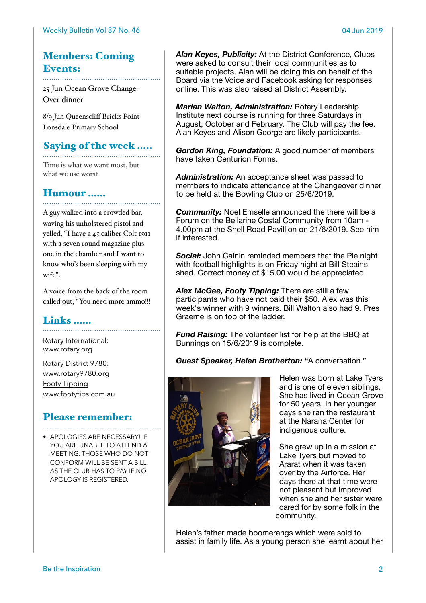### Members: Coming Events:

25 Jun Ocean Grove Change-Over dinner

8/9 Jun Queenscliff Bricks Point Lonsdale Primary School

### Saying of the week …..

Time is what we want most, but what we use worst

### Humour ……

A guy walked into a crowded bar, waving his unholstered pistol and yelled, "I have a 45 caliber Colt 1911 with a seven round magazine plus one in the chamber and I want to know who's been sleeping with my wife".

A voice from the back of the room called out, "You need more ammo!!!

## Links ……

[Rotary International:](https://www.rotary.org) [www.rotary.org](http://www.rotary.org) 

[Rotary District 9780:](http://rotary9780.org) [www.rotary9780.org](http://www.rotary9780.org)  [Footy Tipping](http://www.footytips.com.au) [www.footytips.com.au](http://www.footytips.com.au)

# Please remember:

• APOLOGIES ARE NECESSARY! IF YOU ARE UNABLE TO ATTEND A MEETING. THOSE WHO DO NOT CONFORM WILL BE SENT A BILL, AS THE CLUB HAS TO PAY IF NO APOLOGY IS REGISTERED.

*Alan Keyes, Publicity:* At the District Conference, Clubs were asked to consult their local communities as to suitable projects. Alan will be doing this on behalf of the Board via the Voice and Facebook asking for responses online. This was also raised at District Assembly.

*Marian Walton, Administration:* Rotary Leadership Institute next course is running for three Saturdays in August, October and February. The Club will pay the fee. Alan Keyes and Alison George are likely participants.

*Gordon King, Foundation:* A good number of members have taken Centurion Forms.

*Administration:* An acceptance sheet was passed to members to indicate attendance at the Changeover dinner to be held at the Bowling Club on 25/6/2019.

*Community:* Noel Emselle announced the there will be a Forum on the Bellarine Costal Community from 10am - 4.00pm at the Shell Road Pavillion on 21/6/2019. See him if interested.

**Social:** John Calnin reminded members that the Pie night with football highlights is on Friday night at Bill Steains shed. Correct money of \$15.00 would be appreciated.

*Alex McGee, Footy Tipping:* There are still a few participants who have not paid their \$50. Alex was this week's winner with 9 winners. Bill Walton also had 9. Pres Graeme is on top of the ladder.

*Fund Raising:* The volunteer list for help at the BBQ at Bunnings on 15/6/2019 is complete.

*Guest Speaker, Helen Brotherton:* **"**A conversation."



Helen was born at Lake Tyers and is one of eleven siblings. She has lived in Ocean Grove for 50 years. In her younger days she ran the restaurant at the Narana Center for indigenous culture.

She grew up in a mission at Lake Tyers but moved to Ararat when it was taken over by the Airforce. Her days there at that time were not pleasant but improved when she and her sister were cared for by some folk in the community.

Helen's father made boomerangs which were sold to assist in family life. As a young person she learnt about her